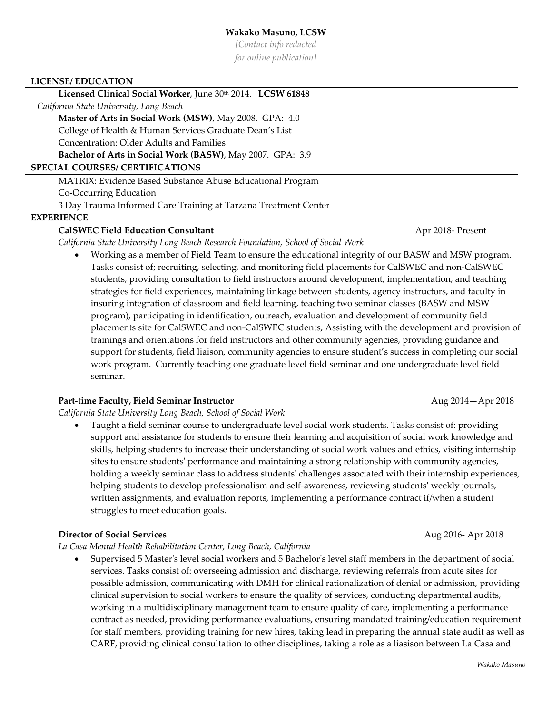*[Contact info redacted*

*for online publication]*

#### **LICENSE/ EDUCATION**

# Licensed Clinical Social Worker, June 30th 2014. LCSW 61848

 *California State University, Long Beach*

#### **Master of Arts in Social Work (MSW)**, May 2008. GPA: 4.0

College of Health & Human Services Graduate Dean's List

Concentration: Older Adults and Families

**Bachelor of Arts in Social Work (BASW)**, May 2007. GPA: 3.9

## **SPECIAL COURSES/ CERTIFICATIONS**

MATRIX: Evidence Based Substance Abuse Educational Program Co-Occurring Education

3 Day Trauma Informed Care Training at Tarzana Treatment Center

## **EXPERIENCE**

# **CalSWEC Field Education Consultant CalSWEC Field Education Consultant Apr 2018-** Present

*California State University Long Beach Research Foundation, School of Social Work*

• Working as a member of Field Team to ensure the educational integrity of our BASW and MSW program. Tasks consist of; recruiting, selecting, and monitoring field placements for CalSWEC and non-CalSWEC students, providing consultation to field instructors around development, implementation, and teaching strategies for field experiences, maintaining linkage between students, agency instructors, and faculty in insuring integration of classroom and field learning, teaching two seminar classes (BASW and MSW program), participating in identification, outreach, evaluation and development of community field placements site for CalSWEC and non-CalSWEC students, Assisting with the development and provision of trainings and orientations for field instructors and other community agencies, providing guidance and support for students, field liaison, community agencies to ensure student's success in completing our social work program. Currently teaching one graduate level field seminar and one undergraduate level field seminar.

### **Part-time Faculty, Field Seminar Instructor**  Aug 2014—Apr 2018

*California State University Long Beach, School of Social Work*

• Taught a field seminar course to undergraduate level social work students. Tasks consist of: providing support and assistance for students to ensure their learning and acquisition of social work knowledge and skills, helping students to increase their understanding of social work values and ethics, visiting internship sites to ensure students' performance and maintaining a strong relationship with community agencies, holding a weekly seminar class to address students' challenges associated with their internship experiences, helping students to develop professionalism and self-awareness, reviewing students' weekly journals, written assignments, and evaluation reports, implementing a performance contract if/when a student struggles to meet education goals.

### **Director of Social Services** Aug 2016- Apr 2018

*La Casa Mental Health Rehabilitation Center, Long Beach, California*

• Supervised 5 Master's level social workers and 5 Bachelor's level staff members in the department of social services. Tasks consist of: overseeing admission and discharge, reviewing referrals from acute sites for possible admission, communicating with DMH for clinical rationalization of denial or admission, providing clinical supervision to social workers to ensure the quality of services, conducting departmental audits, working in a multidisciplinary management team to ensure quality of care, implementing a performance contract as needed, providing performance evaluations, ensuring mandated training/education requirement for staff members, providing training for new hires, taking lead in preparing the annual state audit as well as CARF, providing clinical consultation to other disciplines, taking a role as a liasison between La Casa and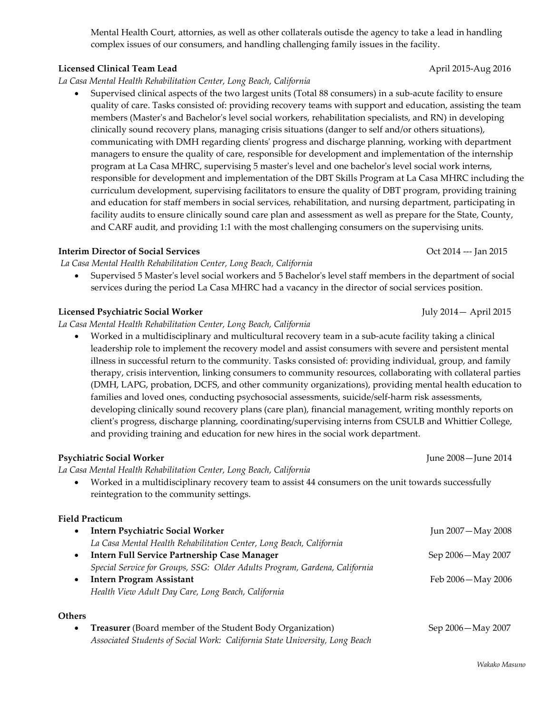## Mental Health Court, attornies, as well as other collaterals outisde the agency to take a lead in handling complex issues of our consumers, and handling challenging family issues in the facility.

# **Licensed Clinical Team Lead** April 2015-Aug 2016

## *La Casa Mental Health Rehabilitation Center, Long Beach, California*

• Supervised clinical aspects of the two largest units (Total 88 consumers) in a sub-acute facility to ensure quality of care. Tasks consisted of: providing recovery teams with support and education, assisting the team members (Master's and Bachelor's level social workers, rehabilitation specialists, and RN) in developing clinically sound recovery plans, managing crisis situations (danger to self and/or others situations), communicating with DMH regarding clients' progress and discharge planning, working with department managers to ensure the quality of care, responsible for development and implementation of the internship program at La Casa MHRC, supervising 5 master's level and one bachelor's level social work interns, responsible for development and implementation of the DBT Skills Program at La Casa MHRC including the curriculum development, supervising facilitators to ensure the quality of DBT program, providing training and education for staff members in social services, rehabilitation, and nursing department, participating in facility audits to ensure clinically sound care plan and assessment as well as prepare for the State, County, and CARF audit, and providing 1:1 with the most challenging consumers on the supervising units.

# **Interim Director of Social Services** Oct 2014 --- Jan 2015

*La Casa Mental Health Rehabilitation Center, Long Beach, California*

• Supervised 5 Master's level social workers and 5 Bachelor's level staff members in the department of social services during the period La Casa MHRC had a vacancy in the director of social services position.

# **Licensed Psychiatric Social Worker** July 2014— April 2015

*La Casa Mental Health Rehabilitation Center, Long Beach, California*

• Worked in a multidisciplinary and multicultural recovery team in a sub-acute facility taking a clinical leadership role to implement the recovery model and assist consumers with severe and persistent mental illness in successful return to the community. Tasks consisted of: providing individual, group, and family therapy, crisis intervention, linking consumers to community resources, collaborating with collateral parties (DMH, LAPG, probation, DCFS, and other community organizations), providing mental health education to families and loved ones, conducting psychosocial assessments, suicide/self-harm risk assessments, developing clinically sound recovery plans (care plan), financial management, writing monthly reports on client's progress, discharge planning, coordinating/supervising interns from CSULB and Whittier College, and providing training and education for new hires in the social work department.

# **Psychiatric Social Worker** June 2008—June 2014

*La Casa Mental Health Rehabilitation Center, Long Beach, California*

• Worked in a multidisciplinary recovery team to assist 44 consumers on the unit towards successfully reintegration to the community settings.

# **Field Practicum**

| <b>Intern Psychiatric Social Worker</b>                                    | Jun 2007 - May 2008 |
|----------------------------------------------------------------------------|---------------------|
| La Casa Mental Health Rehabilitation Center, Long Beach, California        |                     |
| Intern Full Service Partnership Case Manager                               | Sep 2006 – May 2007 |
| Special Service for Groups, SSG: Older Adults Program, Gardena, California |                     |
| <b>Intern Program Assistant</b>                                            | Feb 2006 - May 2006 |
| Health View Adult Day Care, Long Beach, California                         |                     |
|                                                                            |                     |
|                                                                            |                     |

## **Others**

• **Treasurer** (Board member of the Student Body Organization) Sep 2006—May 2007 *Associated Students of Social Work: California State University, Long Beach*